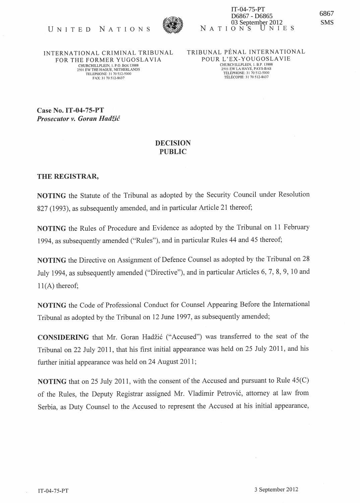

INTERNATIONAL CRIMINAL TRIBUNAL FOR THE FORMER YUGOSLAVIA CHURCHILLPLEIN, 1. P.O. BOX 13888 2501 EW THE HAGUE, NETHERLANDS TELEPHONE: 31 70 512-5000<br>FAX: 31 70 512-8637

TRIBUNAL PÉNAL INTERNATIONAL POUR L'EX-YOUGOSLA VIE CHURCElLLPLEIN, 1. B.P. 13888 2501 EW LA HA YE, PA YS-BAS TELEPHONE: 3170512-5000 TELECOPIE 31 70 512-8637

Case No. IT-04-75-PT **Prosecutor v. Goran Hadžić** 

## DECISION PUBLIC

## THE REGISTRAR,

NOTING the Statute of the Tribunal as adopted by the Security Council under Resolution 827 (1993), as subsequently amended, and in particular Article 21 thereof;

NOTING the Rules of Procedure and Evidence as adopted by the Tribunal on 11 February 1994, as subsequently amended ("Rules"), and in particular Rules 44 and 45 thereof;

NOTING the Directive on Assignment of Defence Counsel as adopted by the Tribunal on 28 July 1994, as subsequently amended ("Directive"), and in particular Articles 6, 7, 8, 9, 10 and  $11(A)$  thereof;

NOTING the Code of Professional Conduct for Counsel Appearing Before the International Tribunal as adopted by the Tribunal on 12 June 1997, as subsequently amended;

CONSIDERING that Mr. Goran Hadzic ("Accused") was transferred to the seat of the Tribunal on 22 July 2011, that his first initial appearance was held on 25 July 2011, and his further initial appearance was held on 24 August 2011;

NOTING that on 25 July 2011, with the consent of the Accused and pursuant to Rule 45(C) of the Rules, the Deputy Registrar assigned Mr. Vladimir Petrović, attorney at law from Serbia, as Duty Counsel to the Accused to represent the Accused at his initial appearance,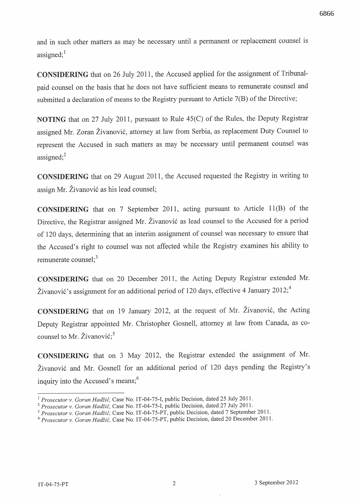6866

and in such other matters as may be necessary until a permanent or replacement counsel is assigned; $<sup>1</sup>$ </sup>

CONSIDERING that on 26 July 2011, the Accused applied for the assignment of Tribunalpaid counsel on the basis that he does not have sufficient means to remunerate counsel and submitted a declaration of means to the Registry pursuant to Article 7(B) of the Directive;

NOTING that on 27 July 2011, pursuant to Rule 4S(C) of the Rules, the Deputy Registrar assigned Mr. Zoran Živanović, attorney at law from Serbia, as replacement Duty Counsel to represent the Accused in such matters as may be necessary until permanent counsel was assigned; $2$ 

CONSIDERING that on 29 August 2011, the Accused requested the Registry in writing to assign Mr. Živanović as his lead counsel;

CONSIDERING that on 7 September 2011, acting pursuant to Article ll(B) of the Directive, the Registrar assigned Mr. Živanović as lead counsel to the Accused for a period of 120 days, determining that an interim assignment of counsel was necessary to ensure that the Accused's right to counsel was not affected while the Registry examines his ability to remunerate counsel; $3$ 

CONSIDERING that on 20 December 2011, the Acting Deputy Registrar extended Mr. Živanović's assignment for an additional period of 120 days, effective 4 January 2012;<sup>4</sup>

CONSIDERING that on 19 January 2012, at the request of Mr. Živanović, the Acting Deputy Registrar appointed Mr. Christopher Gosnell, attorney at law from Canada, as cocounsel to Mr. Živanović;<sup>5</sup>

CONSIDERING that on 3 May 2012, the Registrar extended the assignment of Mr. Zivanovi6 and Mr. Gosnell for an additional period of 120 days pending the Registry's inquiry into the Accused's means;<sup>6</sup>

<sup>&</sup>lt;sup>1</sup> Prosecutor v. *Goran Hadžić*, Case No. IT-04-75-I, public Decision, dated 25 July 2011.

*<sup>2</sup> Prosecutor* v. *Goran Hadiic,* Case No. IT-04-75-I, public Decision, dated 27 July 2011.

*<sup>3</sup> Prosecutor* v. *Goran Hadiic,* Case No. IT-04-75-PT, public Decision, dated 7 September 2011.

<sup>4</sup>*Prosecutor* v. *Goran Hadiic,* Case No. IT-04-75-PT, public Decision, dated 20 December 2011.